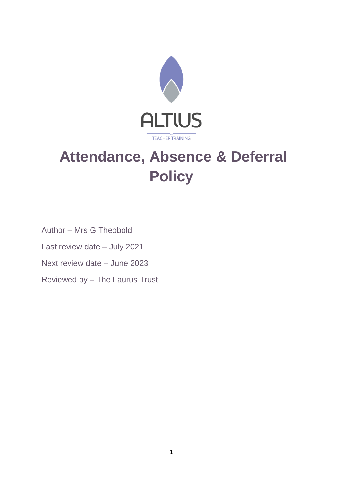

# **Attendance, Absence & Deferral Policy**

Author – Mrs G Theobold Last review date – July 2021 Next review date – June 2023 Reviewed by – The Laurus Trust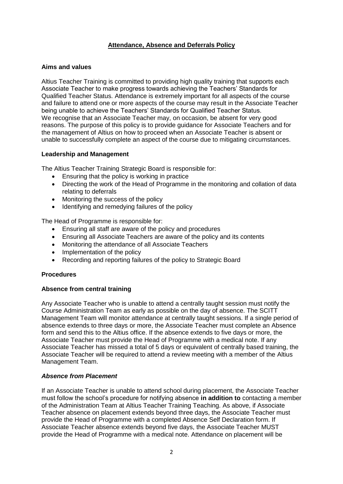#### **Attendance, Absence and Deferrals Policy**

#### **Aims and values**

Altius Teacher Training is committed to providing high quality training that supports each Associate Teacher to make progress towards achieving the Teachers' Standards for Qualified Teacher Status. Attendance is extremely important for all aspects of the course and failure to attend one or more aspects of the course may result in the Associate Teacher being unable to achieve the Teachers' Standards for Qualified Teacher Status. We recognise that an Associate Teacher may, on occasion, be absent for very good reasons. The purpose of this policy is to provide guidance for Associate Teachers and for the management of Altius on how to proceed when an Associate Teacher is absent or unable to successfully complete an aspect of the course due to mitigating circumstances.

#### **Leadership and Management**

The Altius Teacher Training Strategic Board is responsible for:

- Ensuring that the policy is working in practice
- Directing the work of the Head of Programme in the monitoring and collation of data relating to deferrals
- Monitoring the success of the policy
- Identifying and remedying failures of the policy

The Head of Programme is responsible for:

- Ensuring all staff are aware of the policy and procedures
- Ensuring all Associate Teachers are aware of the policy and its contents
- Monitoring the attendance of all Associate Teachers
- Implementation of the policy
- Recording and reporting failures of the policy to Strategic Board

#### **Procedures**

#### **Absence from central training**

Any Associate Teacher who is unable to attend a centrally taught session must notify the Course Administration Team as early as possible on the day of absence. The SCITT Management Team will monitor attendance at centrally taught sessions. If a single period of absence extends to three days or more, the Associate Teacher must complete an Absence form and send this to the Altius office. If the absence extends to five days or more, the Associate Teacher must provide the Head of Programme with a medical note. If any Associate Teacher has missed a total of 5 days or equivalent of centrally based training, the Associate Teacher will be required to attend a review meeting with a member of the Altius Management Team.

#### *Absence from Placement*

If an Associate Teacher is unable to attend school during placement, the Associate Teacher must follow the school's procedure for notifying absence **in addition to** contacting a member of the Administration Team at Altius Teacher Training Teaching. As above, if Associate Teacher absence on placement extends beyond three days, the Associate Teacher must provide the Head of Programme with a completed Absence Self Declaration form. If Associate Teacher absence extends beyond five days, the Associate Teacher MUST provide the Head of Programme with a medical note. Attendance on placement will be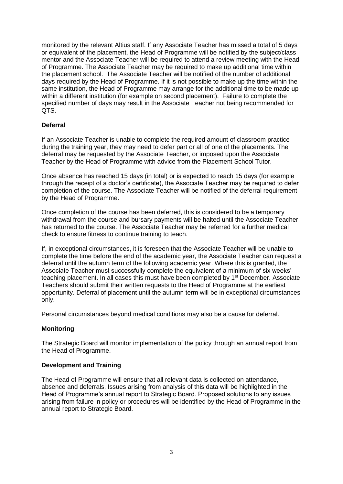monitored by the relevant Altius staff. If any Associate Teacher has missed a total of 5 days or equivalent of the placement, the Head of Programme will be notified by the subject/class mentor and the Associate Teacher will be required to attend a review meeting with the Head of Programme. The Associate Teacher may be required to make up additional time within the placement school. The Associate Teacher will be notified of the number of additional days required by the Head of Programme. If it is not possible to make up the time within the same institution, the Head of Programme may arrange for the additional time to be made up within a different institution (for example on second placement). Failure to complete the specified number of days may result in the Associate Teacher not being recommended for QTS.

#### **Deferral**

If an Associate Teacher is unable to complete the required amount of classroom practice during the training year, they may need to defer part or all of one of the placements. The deferral may be requested by the Associate Teacher, or imposed upon the Associate Teacher by the Head of Programme with advice from the Placement School Tutor.

Once absence has reached 15 days (in total) or is expected to reach 15 days (for example through the receipt of a doctor's certificate), the Associate Teacher may be required to defer completion of the course. The Associate Teacher will be notified of the deferral requirement by the Head of Programme.

Once completion of the course has been deferred, this is considered to be a temporary withdrawal from the course and bursary payments will be halted until the Associate Teacher has returned to the course. The Associate Teacher may be referred for a further medical check to ensure fitness to continue training to teach.

If, in exceptional circumstances, it is foreseen that the Associate Teacher will be unable to complete the time before the end of the academic year, the Associate Teacher can request a deferral until the autumn term of the following academic year. Where this is granted, the Associate Teacher must successfully complete the equivalent of a minimum of six weeks' teaching placement. In all cases this must have been completed by 1<sup>st</sup> December. Associate Teachers should submit their written requests to the Head of Programme at the earliest opportunity. Deferral of placement until the autumn term will be in exceptional circumstances only.

Personal circumstances beyond medical conditions may also be a cause for deferral.

#### **Monitoring**

The Strategic Board will monitor implementation of the policy through an annual report from the Head of Programme.

#### **Development and Training**

The Head of Programme will ensure that all relevant data is collected on attendance, absence and deferrals. Issues arising from analysis of this data will be highlighted in the Head of Programme's annual report to Strategic Board. Proposed solutions to any issues arising from failure in policy or procedures will be identified by the Head of Programme in the annual report to Strategic Board.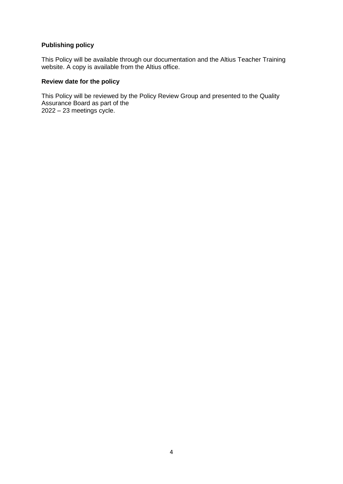## **Publishing policy**

This Policy will be available through our documentation and the Altius Teacher Training website. A copy is available from the Altius office.

#### **Review date for the policy**

This Policy will be reviewed by the Policy Review Group and presented to the Quality Assurance Board as part of the 2022 – 23 meetings cycle.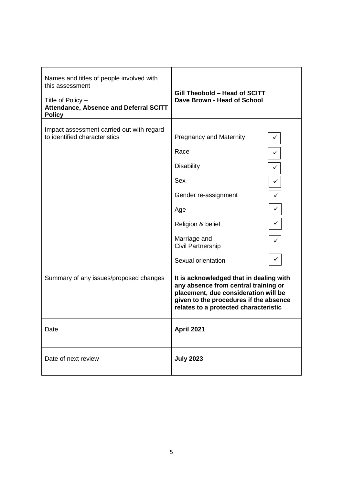| Names and titles of people involved with<br>this assessment<br>Title of Policy -<br>Attendance, Absence and Deferral SCITT<br><b>Policy</b> | Gill Theobold - Head of SCITT<br>Dave Brown - Head of School                                                                                                                                               |  |
|---------------------------------------------------------------------------------------------------------------------------------------------|------------------------------------------------------------------------------------------------------------------------------------------------------------------------------------------------------------|--|
| Impact assessment carried out with regard<br>to identified characteristics                                                                  | <b>Pregnancy and Maternity</b>                                                                                                                                                                             |  |
|                                                                                                                                             | Race                                                                                                                                                                                                       |  |
|                                                                                                                                             | <b>Disability</b><br>✓                                                                                                                                                                                     |  |
|                                                                                                                                             | Sex<br>✓                                                                                                                                                                                                   |  |
|                                                                                                                                             | Gender re-assignment<br>✓                                                                                                                                                                                  |  |
|                                                                                                                                             | ✓<br>Age                                                                                                                                                                                                   |  |
|                                                                                                                                             | $\checkmark$<br>Religion & belief                                                                                                                                                                          |  |
|                                                                                                                                             | Marriage and<br>Civil Partnership                                                                                                                                                                          |  |
|                                                                                                                                             | Sexual orientation                                                                                                                                                                                         |  |
| Summary of any issues/proposed changes                                                                                                      | It is acknowledged that in dealing with<br>any absence from central training or<br>placement, due consideration will be<br>given to the procedures if the absence<br>relates to a protected characteristic |  |
| Date                                                                                                                                        | April 2021                                                                                                                                                                                                 |  |
| Date of next review                                                                                                                         | <b>July 2023</b>                                                                                                                                                                                           |  |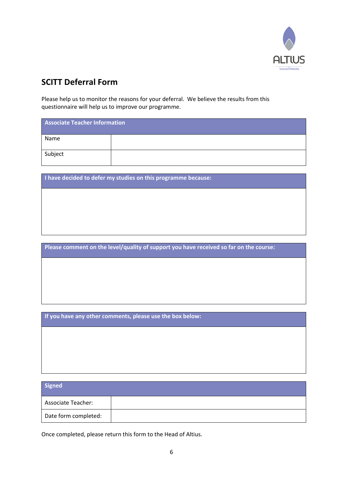

# **SCITT Deferral Form**

Please help us to monitor the reasons for your deferral. We believe the results from this questionnaire will help us to improve our programme.

| <b>Associate Teacher Information</b> |  |  |
|--------------------------------------|--|--|
| Name                                 |  |  |
| Subject                              |  |  |

**I have decided to defer my studies on this programme because:**

**Please comment on the level/quality of support you have received so far on the course:**

**If you have any other comments, please use the box below:**

| Signed                    |  |
|---------------------------|--|
| <b>Associate Teacher:</b> |  |
| Date form completed:      |  |

Once completed, please return this form to the Head of Altius.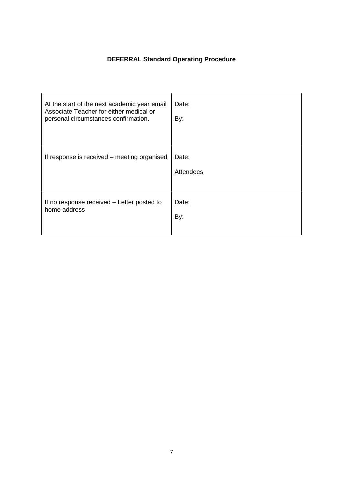## **DEFERRAL Standard Operating Procedure**

| At the start of the next academic year email<br>Associate Teacher for either medical or<br>personal circumstances confirmation. | Date:<br>By:        |
|---------------------------------------------------------------------------------------------------------------------------------|---------------------|
| If response is received – meeting organised                                                                                     | Date:<br>Attendees: |
| If no response received – Letter posted to<br>home address                                                                      | Date:<br>By:        |